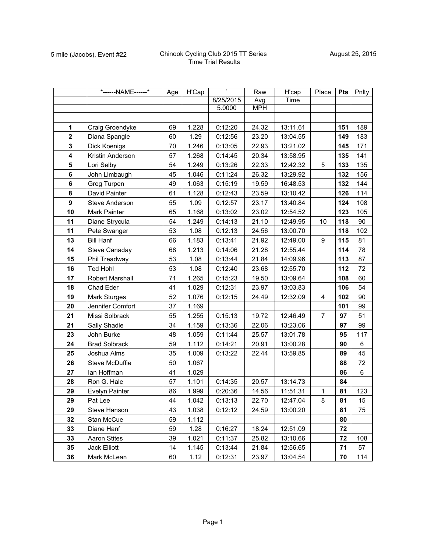|                         | *------NAME------*     | Age | H'Cap |           | Raw        | H'cap    | Place          | <b>Pts</b> | Pnlty |
|-------------------------|------------------------|-----|-------|-----------|------------|----------|----------------|------------|-------|
|                         |                        |     |       | 8/25/2015 | Avg        | Time     |                |            |       |
|                         |                        |     |       | 5.0000    | <b>MPH</b> |          |                |            |       |
|                         |                        |     |       |           |            |          |                |            |       |
| $\mathbf 1$             | Craig Groendyke        | 69  | 1.228 | 0:12:20   | 24.32      | 13:11.61 |                | 151        | 189   |
| $\mathbf{2}$            | Diana Spangle          | 60  | 1.29  | 0:12:56   | 23.20      | 13:04.55 |                | 149        | 183   |
| $\mathbf 3$             | Dick Koenigs           | 70  | 1.246 | 0:13:05   | 22.93      | 13:21.02 |                | 145        | 171   |
| $\overline{\mathbf{4}}$ | Kristin Anderson       | 57  | 1.268 | 0:14:45   | 20.34      | 13:58.95 |                | 135        | 141   |
| 5                       | Lori Selby             | 54  | 1.249 | 0:13:26   | 22.33      | 12:42.32 | 5              | 133        | 135   |
| 6                       | John Limbaugh          | 45  | 1.046 | 0:11:24   | 26.32      | 13:29.92 |                | 132        | 156   |
| 6                       | Greg Turpen            | 49  | 1.063 | 0:15:19   | 19.59      | 16:48.53 |                | 132        | 144   |
| 8                       | David Painter          | 61  | 1.128 | 0:12:43   | 23.59      | 13:10.42 |                | 126        | 114   |
| $\boldsymbol{9}$        | Steve Anderson         | 55  | 1.09  | 0:12:57   | 23.17      | 13:40.84 |                | 124        | 108   |
| 10                      | Mark Painter           | 65  | 1.168 | 0:13:02   | 23.02      | 12:54.52 |                | 123        | 105   |
| 11                      | Diane Strycula         | 54  | 1.249 | 0:14:13   | 21.10      | 12:49.95 | 10             | 118        | 90    |
| 11                      | Pete Swanger           | 53  | 1.08  | 0:12:13   | 24.56      | 13:00.70 |                | 118        | 102   |
| 13                      | <b>Bill Hanf</b>       | 66  | 1.183 | 0:13:41   | 21.92      | 12:49.00 | 9              | 115        | 81    |
| 14                      | <b>Steve Canaday</b>   | 68  | 1.213 | 0:14:06   | 21.28      | 12:55.44 |                | 114        | 78    |
| 15                      | Phil Treadway          | 53  | 1.08  | 0:13:44   | 21.84      | 14:09.96 |                | 113        | 87    |
| 16                      | <b>Ted Hohl</b>        | 53  | 1.08  | 0:12:40   | 23.68      | 12:55.70 |                | 112        | 72    |
| 17                      | <b>Robert Marshall</b> | 71  | 1.265 | 0:15:23   | 19.50      | 13:09.64 |                | 108        | 60    |
| 18                      | Chad Eder              | 41  | 1.029 | 0:12:31   | 23.97      | 13:03.83 |                | 106        | 54    |
| 19                      | <b>Mark Sturges</b>    | 52  | 1.076 | 0:12:15   | 24.49      | 12:32.09 | 4              | 102        | 90    |
| 20                      | Jennifer Comfort       | 37  | 1.169 |           |            |          |                | 101        | 99    |
| 21                      | Missi Solbrack         | 55  | 1.255 | 0:15:13   | 19.72      | 12:46.49 | $\overline{7}$ | 97         | 51    |
| 21                      | Sally Shadle           | 34  | 1.159 | 0:13:36   | 22.06      | 13:23.06 |                | 97         | 99    |
| 23                      | John Burke             | 48  | 1.059 | 0:11:44   | 25.57      | 13:01.78 |                | 95         | 117   |
| 24                      | <b>Brad Solbrack</b>   | 59  | 1.112 | 0:14:21   | 20.91      | 13:00.28 |                | 90         | 6     |
| 25                      | Joshua Alms            | 35  | 1.009 | 0:13:22   | 22.44      | 13:59.85 |                | 89         | 45    |
| 26                      | Steve McDuffie         | 50  | 1.067 |           |            |          |                | 88         | 72    |
| 27                      | lan Hoffman            | 41  | 1.029 |           |            |          |                | 86         | 6     |
| 28                      | Ron G. Hale            | 57  | 1.101 | 0:14:35   | 20.57      | 13:14.73 |                | 84         |       |
| 29                      | Evelyn Painter         | 86  | 1.999 | 0:20:36   | 14.56      | 11:51.31 | 1              | 81         | 123   |
| 29                      | Pat Lee                | 44  | 1.042 | 0:13:13   | 22.70      | 12:47.04 | 8              | 81         | 15    |
| 29                      | Steve Hanson           | 43  | 1.038 | 0:12:12   | 24.59      | 13:00.20 |                | 81         | 75    |
| 32                      | Stan McCue             | 59  | 1.112 |           |            |          |                | 80         |       |
| 33                      | Diane Hanf             | 59  | 1.28  | 0:16:27   | 18.24      | 12:51.09 |                | 72         |       |
| 33                      | <b>Aaron Stites</b>    | 39  | 1.021 | 0:11:37   | 25.82      | 13:10.66 |                | 72         | 108   |
| 35                      | Jack Elliott           | 14  | 1.145 | 0:13:44   | 21.84      | 12:56.65 |                | 71         | 57    |
| 36                      | Mark McLean            | 60  | 1.12  | 0:12:31   | 23.97      | 13:04.54 |                | 70         | 114   |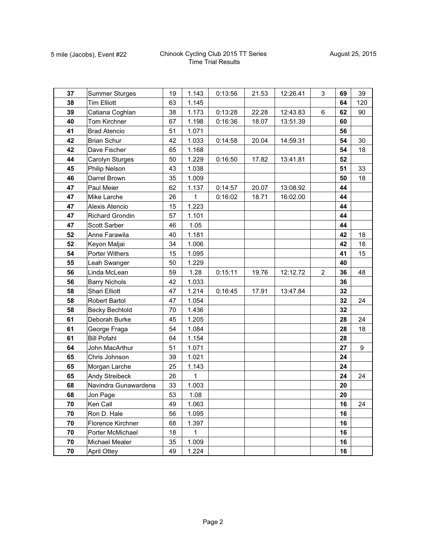| 37 | <b>Summer Sturges</b> | 19 | 1.143        | 0:13:56 | 21.53 | 12:26.41 | 3              | 69 | 39  |
|----|-----------------------|----|--------------|---------|-------|----------|----------------|----|-----|
| 38 | <b>Tim Elliott</b>    | 63 | 1.145        |         |       |          |                | 64 | 120 |
| 39 | Catiana Coghlan       | 38 | 1.173        | 0:13:28 | 22.28 | 12:43.83 | 6              | 62 | 90  |
| 40 | Tom Kirchner          | 67 | 1.198        | 0:16:36 | 18.07 | 13:51.39 |                | 60 |     |
| 41 | <b>Brad Atencio</b>   | 51 | 1.071        |         |       |          |                | 56 |     |
| 42 | <b>Brian Schur</b>    | 42 | 1.033        | 0:14:58 | 20.04 | 14:59.31 |                | 54 | 30  |
| 42 | Dave Fischer          | 65 | 1.168        |         |       |          |                | 54 | 18  |
| 44 | Carolyn Sturges       | 50 | 1.229        | 0:16:50 | 17.82 | 13:41.81 |                | 52 |     |
| 45 | Philip Nelson         | 43 | 1.038        |         |       |          |                | 51 | 33  |
| 46 | Darrel Brown          | 35 | 1.009        |         |       |          |                | 50 | 18  |
| 47 | Paul Meier            | 62 | 1.137        | 0:14:57 | 20.07 | 13:08.92 |                | 44 |     |
| 47 | Mike Larche           | 26 | 1            | 0:16:02 | 18.71 | 16:02.00 |                | 44 |     |
| 47 | Alexis Atencio        | 15 | 1.223        |         |       |          |                | 44 |     |
| 47 | Richard Grondin       | 57 | 1.101        |         |       |          |                | 44 |     |
| 47 | Scott Sarber          | 46 | 1.05         |         |       |          |                | 44 |     |
| 52 | Anne Farawila         | 40 | 1.181        |         |       |          |                | 42 | 18  |
| 52 | Keyon Maljai          | 34 | 1.006        |         |       |          |                | 42 | 18  |
| 54 | Porter Withers        | 15 | 1.095        |         |       |          |                | 41 | 15  |
| 55 | Leah Swanger          | 50 | 1.229        |         |       |          |                | 40 |     |
| 56 | Linda McLean          | 59 | 1.28         | 0:15:11 | 19.76 | 12:12.72 | $\overline{c}$ | 36 | 48  |
| 56 | <b>Barry Nichols</b>  | 42 | 1.033        |         |       |          |                | 36 |     |
| 58 | Shari Elliott         | 47 | 1.214        | 0:16:45 | 17.91 | 13:47.84 |                | 32 |     |
| 58 | <b>Robert Bartol</b>  | 47 | 1.054        |         |       |          |                | 32 | 24  |
| 58 | <b>Becky Bechtold</b> | 70 | 1.436        |         |       |          |                | 32 |     |
| 61 | Deborah Burke         | 45 | 1.205        |         |       |          |                | 28 | 24  |
| 61 | George Fraga          | 54 | 1.084        |         |       |          |                | 28 | 18  |
| 61 | <b>Bill Pofahl</b>    | 64 | 1.154        |         |       |          |                | 28 |     |
| 64 | John MacArthur        | 51 | 1.071        |         |       |          |                | 27 | 9   |
| 65 | Chris Johnson         | 39 | 1.021        |         |       |          |                | 24 |     |
| 65 | Morgan Larche         | 25 | 1.143        |         |       |          |                | 24 |     |
| 65 | <b>Andy Streibeck</b> | 26 | 1            |         |       |          |                | 24 | 24  |
| 68 | Navindra Gunawardena  | 33 | 1.003        |         |       |          |                | 20 |     |
| 68 | Jon Page              | 53 | 1.08         |         |       |          |                | 20 |     |
| 70 | Ken Call              | 49 | 1.063        |         |       |          |                | 16 | 24  |
| 70 | Ron D. Hale           | 56 | 1.095        |         |       |          |                | 16 |     |
| 70 | Florence Kirchner     | 68 | 1.397        |         |       |          |                | 16 |     |
| 70 | Porter McMichael      | 18 | $\mathbf{1}$ |         |       |          |                | 16 |     |
| 70 | Michael Mealer        | 35 | 1.009        |         |       |          |                | 16 |     |
| 70 | <b>April Ottey</b>    | 49 | 1.224        |         |       |          |                | 16 |     |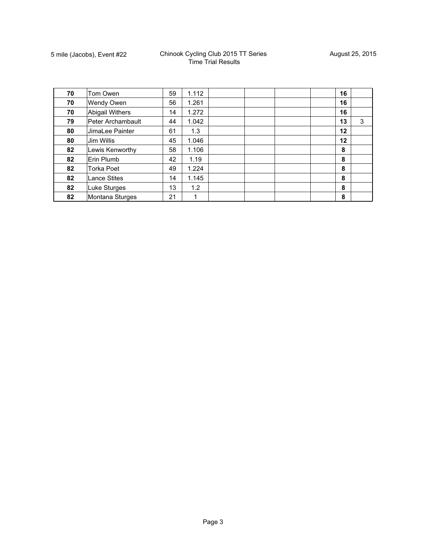| 70 | Tom Owen            | 59 | 1.112 |  | 16 |   |
|----|---------------------|----|-------|--|----|---|
| 70 | Wendy Owen          | 56 | 1.261 |  | 16 |   |
| 70 | Abigail Withers     | 14 | 1.272 |  | 16 |   |
| 79 | Peter Archambault   | 44 | 1.042 |  | 13 | 3 |
| 80 | JimaLee Painter     | 61 | 1.3   |  | 12 |   |
| 80 | Jim Willis          | 45 | 1.046 |  | 12 |   |
| 82 | Lewis Kenworthy     | 58 | 1.106 |  | 8  |   |
| 82 | Erin Plumb          | 42 | 1.19  |  | 8  |   |
| 82 | <b>Torka Poet</b>   | 49 | 1.224 |  | 8  |   |
| 82 | <b>Lance Stites</b> | 14 | 1.145 |  | 8  |   |
| 82 | Luke Sturges        | 13 | 1.2   |  | 8  |   |
| 82 | Montana Sturges     | 21 | 1     |  | 8  |   |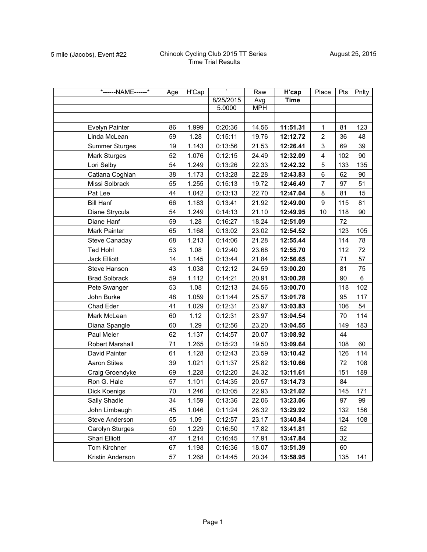| *------NAME------*    | Age | H'Cap |           | Raw        | H'cap       | Place                   | Pts | Pnlty          |
|-----------------------|-----|-------|-----------|------------|-------------|-------------------------|-----|----------------|
|                       |     |       | 8/25/2015 | Avg        | <b>Time</b> |                         |     |                |
|                       |     |       | 5.0000    | <b>MPH</b> |             |                         |     |                |
|                       |     |       |           |            |             |                         |     |                |
| Evelyn Painter        | 86  | 1.999 | 0:20:36   | 14.56      | 11:51.31    | 1                       | 81  | 123            |
| Linda McLean          | 59  | 1.28  | 0:15:11   | 19.76      | 12:12.72    | $\overline{2}$          | 36  | 48             |
| <b>Summer Sturges</b> | 19  | 1.143 | 0:13:56   | 21.53      | 12:26.41    | 3                       | 69  | 39             |
| Mark Sturges          | 52  | 1.076 | 0:12:15   | 24.49      | 12:32.09    | $\overline{\mathbf{4}}$ | 102 | 90             |
| Lori Selby            | 54  | 1.249 | 0:13:26   | 22.33      | 12:42.32    | 5                       | 133 | 135            |
| Catiana Coghlan       | 38  | 1.173 | 0:13:28   | 22.28      | 12:43.83    | $\,6$                   | 62  | 90             |
| Missi Solbrack        | 55  | 1.255 | 0:15:13   | 19.72      | 12:46.49    | $\overline{7}$          | 97  | 51             |
| Pat Lee               | 44  | 1.042 | 0:13:13   | 22.70      | 12:47.04    | 8                       | 81  | 15             |
| <b>Bill Hanf</b>      | 66  | 1.183 | 0:13:41   | 21.92      | 12:49.00    | $\boldsymbol{9}$        | 115 | 81             |
| Diane Strycula        | 54  | 1.249 | 0:14:13   | 21.10      | 12:49.95    | 10                      | 118 | 90             |
| Diane Hanf            | 59  | 1.28  | 0:16:27   | 18.24      | 12:51.09    |                         | 72  |                |
| Mark Painter          | 65  | 1.168 | 0:13:02   | 23.02      | 12:54.52    |                         | 123 | 105            |
| Steve Canaday         | 68  | 1.213 | 0:14:06   | 21.28      | 12:55.44    |                         | 114 | 78             |
| <b>Ted Hohl</b>       | 53  | 1.08  | 0:12:40   | 23.68      | 12:55.70    |                         | 112 | 72             |
| <b>Jack Elliott</b>   | 14  | 1.145 | 0:13:44   | 21.84      | 12:56.65    |                         | 71  | 57             |
| Steve Hanson          | 43  | 1.038 | 0:12:12   | 24.59      | 13:00.20    |                         | 81  | 75             |
| <b>Brad Solbrack</b>  | 59  | 1.112 | 0:14:21   | 20.91      | 13:00.28    |                         | 90  | $6\phantom{a}$ |
| Pete Swanger          | 53  | 1.08  | 0:12:13   | 24.56      | 13:00.70    |                         | 118 | 102            |
| John Burke            | 48  | 1.059 | 0:11:44   | 25.57      | 13:01.78    |                         | 95  | 117            |
| Chad Eder             | 41  | 1.029 | 0:12:31   | 23.97      | 13:03.83    |                         | 106 | 54             |
| Mark McLean           | 60  | 1.12  | 0:12:31   | 23.97      | 13:04.54    |                         | 70  | 114            |
| Diana Spangle         | 60  | 1.29  | 0:12:56   | 23.20      | 13:04.55    |                         | 149 | 183            |
| Paul Meier            | 62  | 1.137 | 0:14:57   | 20.07      | 13:08.92    |                         | 44  |                |
| Robert Marshall       | 71  | 1.265 | 0:15:23   | 19.50      | 13:09.64    |                         | 108 | 60             |
| David Painter         | 61  | 1.128 | 0:12:43   | 23.59      | 13:10.42    |                         | 126 | 114            |
| <b>Aaron Stites</b>   | 39  | 1.021 | 0:11:37   | 25.82      | 13:10.66    |                         | 72  | 108            |
| Craig Groendyke       | 69  | 1.228 | 0:12:20   | 24.32      | 13:11.61    |                         | 151 | 189            |
| Ron G. Hale           | 57  | 1.101 | 0:14:35   | 20.57      | 13:14.73    |                         | 84  |                |
| Dick Koenigs          | 70  | 1.246 | 0:13:05   | 22.93      | 13:21.02    |                         | 145 | 171            |
| Sally Shadle          | 34  | 1.159 | 0:13:36   | 22.06      | 13:23.06    |                         | 97  | 99             |
| John Limbaugh         | 45  | 1.046 | 0:11:24   | 26.32      | 13:29.92    |                         | 132 | 156            |
| Steve Anderson        | 55  | 1.09  | 0:12:57   | 23.17      | 13:40.84    |                         | 124 | 108            |
| Carolyn Sturges       | 50  | 1.229 | 0:16:50   | 17.82      | 13:41.81    |                         | 52  |                |
| Shari Elliott         | 47  | 1.214 | 0:16:45   | 17.91      | 13:47.84    |                         | 32  |                |
| Tom Kirchner          | 67  | 1.198 | 0:16:36   | 18.07      | 13:51.39    |                         | 60  |                |
| Kristin Anderson      | 57  | 1.268 | 0:14:45   | 20.34      | 13:58.95    |                         | 135 | 141            |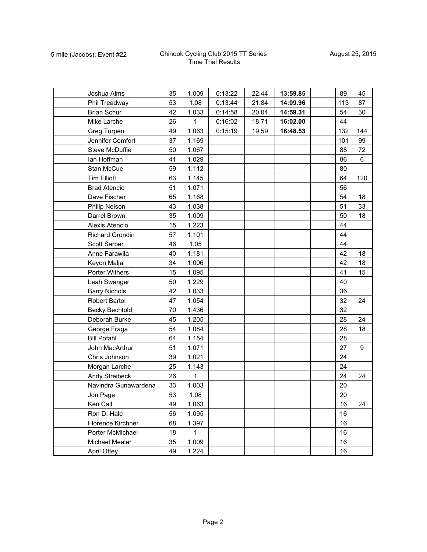| Joshua Alms           | 35 | 1.009 | 0:13:22 | 22.44 | 13:59.85 | 89  | 45  |
|-----------------------|----|-------|---------|-------|----------|-----|-----|
| Phil Treadway         | 53 | 1.08  | 0:13:44 | 21.84 | 14:09.96 | 113 | 87  |
| <b>Brian Schur</b>    | 42 | 1.033 | 0:14:58 | 20.04 | 14:59.31 | 54  | 30  |
| Mike Larche           | 26 | 1     | 0:16:02 | 18.71 | 16:02.00 | 44  |     |
| Greg Turpen           | 49 | 1.063 | 0:15:19 | 19.59 | 16:48.53 | 132 | 144 |
| Jennifer Comfort      | 37 | 1.169 |         |       |          | 101 | 99  |
| <b>Steve McDuffie</b> | 50 | 1.067 |         |       |          | 88  | 72  |
| lan Hoffman           | 41 | 1.029 |         |       |          | 86  | 6   |
| Stan McCue            | 59 | 1.112 |         |       |          | 80  |     |
| <b>Tim Elliott</b>    | 63 | 1.145 |         |       |          | 64  | 120 |
| <b>Brad Atencio</b>   | 51 | 1.071 |         |       |          | 56  |     |
| Dave Fischer          | 65 | 1.168 |         |       |          | 54  | 18  |
| Philip Nelson         | 43 | 1.038 |         |       |          | 51  | 33  |
| Darrel Brown          | 35 | 1.009 |         |       |          | 50  | 18  |
| Alexis Atencio        | 15 | 1.223 |         |       |          | 44  |     |
| Richard Grondin       | 57 | 1.101 |         |       |          | 44  |     |
| Scott Sarber          | 46 | 1.05  |         |       |          | 44  |     |
| Anne Farawila         | 40 | 1.181 |         |       |          | 42  | 18  |
| Keyon Maljai          | 34 | 1.006 |         |       |          | 42  | 18  |
| <b>Porter Withers</b> | 15 | 1.095 |         |       |          | 41  | 15  |
| Leah Swanger          | 50 | 1.229 |         |       |          | 40  |     |
| <b>Barry Nichols</b>  | 42 | 1.033 |         |       |          | 36  |     |
| Robert Bartol         | 47 | 1.054 |         |       |          | 32  | 24  |
| <b>Becky Bechtold</b> | 70 | 1.436 |         |       |          | 32  |     |
| Deborah Burke         | 45 | 1.205 |         |       |          | 28  | 24  |
| George Fraga          | 54 | 1.084 |         |       |          | 28  | 18  |
| <b>Bill Pofahl</b>    | 64 | 1.154 |         |       |          | 28  |     |
| John MacArthur        | 51 | 1.071 |         |       |          | 27  | 9   |
| Chris Johnson         | 39 | 1.021 |         |       |          | 24  |     |
| Morgan Larche         | 25 | 1.143 |         |       |          | 24  |     |
| Andy Streibeck        | 26 | 1     |         |       |          | 24  | 24  |
| Navindra Gunawardena  | 33 | 1.003 |         |       |          | 20  |     |
| Jon Page              | 53 | 1.08  |         |       |          | 20  |     |
| Ken Call              | 49 | 1.063 |         |       |          | 16  | 24  |
| Ron D. Hale           | 56 | 1.095 |         |       |          | 16  |     |
| Florence Kirchner     | 68 | 1.397 |         |       |          | 16  |     |
| Porter McMichael      | 18 | 1     |         |       |          | 16  |     |
| Michael Mealer        | 35 | 1.009 |         |       |          | 16  |     |
| <b>April Ottey</b>    | 49 | 1.224 |         |       |          | 16  |     |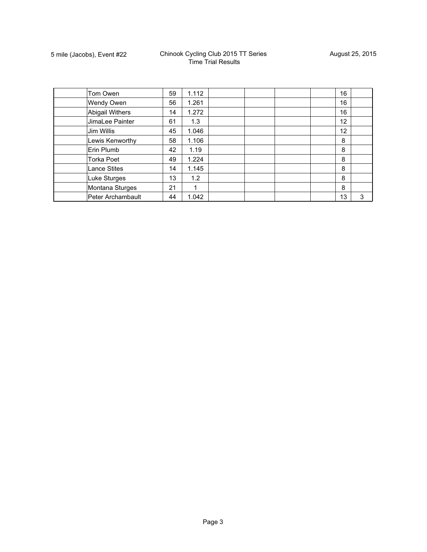| Tom Owen               | 59 | 1.112 |  |  | 16 |   |
|------------------------|----|-------|--|--|----|---|
| Wendy Owen             | 56 | 1.261 |  |  | 16 |   |
| <b>Abigail Withers</b> | 14 | 1.272 |  |  | 16 |   |
| JimaLee Painter        | 61 | 1.3   |  |  | 12 |   |
| Jim Willis             | 45 | 1.046 |  |  | 12 |   |
| Lewis Kenworthy        | 58 | 1.106 |  |  | 8  |   |
| Erin Plumb             | 42 | 1.19  |  |  | 8  |   |
| <b>Torka Poet</b>      | 49 | 1.224 |  |  | 8  |   |
| <b>Lance Stites</b>    | 14 | 1.145 |  |  | 8  |   |
| Luke Sturges           | 13 | 1.2   |  |  | 8  |   |
| Montana Sturges        | 21 | 1     |  |  | 8  |   |
| Peter Archambault      | 44 | 1.042 |  |  | 13 | 3 |